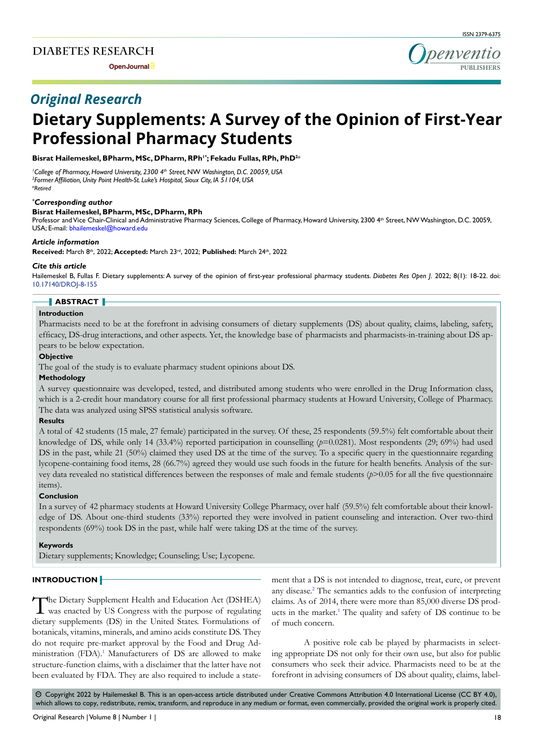**Open Journal**



# *Original Research*

# **Dietary Supplements: A Survey of the Opinion of First-Year Professional Pharmacy Students**

**Bisrat Hailemeskel, BPharm, MSc, DPharm, RPh1\*; Fekadu Fullas, RPh, PhD2***#*

*1 College of Pharmacy, Howard University, 2300 4th Street,* NW *Washington, D.C. 20059, USA 2 Former Affiliation, Unity Point Health-St. Luke's Hospital, Sioux City, IA 51104, USA #Retired*

# *\* Corresponding author*

# **Bisrat Hailemeskel, BPharm, MSc, DPharm, RPh**

Professor and Vice Chair-Clinical and Administrative Pharmacy Sciences, College of Pharmacy, Howard University, 2300 4th Street, NW Washington, D.C. 20059, USA; E-mail: bhailemeskel@howard.edu

#### *Article information*

**Received:** March 8th, 2022; **Accepted:** March 23rd, 2022; **Published:** March 24th, 2022

#### *Cite this article*

Hailemeskel B, Fullas F. Dietary supplements: A survey of the opinion of first-year professional pharmacy students. *Diabetes Res Open J*. 2022; 8(1): 18-22. doi: [10.17140/DROJ-8-155](http://dx.doi.org/10.17140/DROJ-8-155)

#### **ABSTRACT**

# **Introduction**

Pharmacists need to be at the forefront in advising consumers of dietary supplements (DS) about quality, claims, labeling, safety, efficacy, DS-drug interactions, and other aspects. Yet, the knowledge base of pharmacists and pharmacists-in-training about DS appears to be below expectation.

#### **Objective**

The goal of the study is to evaluate pharmacy student opinions about DS.

#### **Methodology**

A survey questionnaire was developed, tested, and distributed among students who were enrolled in the Drug Information class, which is a 2-credit hour mandatory course for all first professional pharmacy students at Howard University, College of Pharmacy. The data was analyzed using SPSS statistical analysis software.

# **Results**

A total of 42 students (15 male, 27 female) participated in the survey. Of these, 25 respondents (59.5%) felt comfortable about their knowledge of DS, while only 14 (33.4%) reported participation in counselling  $(p=0.0281)$ . Most respondents (29; 69%) had used DS in the past, while 21 (50%) claimed they used DS at the time of the survey. To a specific query in the questionnaire regarding lycopene-containing food items, 28 (66.7%) agreed they would use such foods in the future for health benefits. Analysis of the survey data revealed no statistical differences between the responses of male and female students (*p*>0.05 for all the five questionnaire items).

#### **Conclusion**

In a survey of 42 pharmacy students at Howard University College Pharmacy, over half (59.5%) felt comfortable about their knowledge of DS. About one-third students (33%) reported they were involved in patient counseling and interaction. Over two-third respondents (69%) took DS in the past, while half were taking DS at the time of the survey.

#### **Keywords**

Dietary supplements; Knowledge; Counseling; Use; Lycopene.

# **INTRODUCTION**

The Dietary Supplement Health and Education Act (DSHEA) was enacted by US Congress with the purpose of regulating dietary supplements (DS) in the United States. Formulations of botanicals, vitamins, minerals, and amino acids constitute DS. They do not require pre-market approval by the Food and Drug Administration (FDA).<sup>1</sup> Manufacturers of DS are allowed to make structure-function claims, with a disclaimer that the latter have not been evaluated by FDA. They are also required to include a statement that a DS is not intended to diagnose, treat, cure, or prevent any disease.<sup>[2](#page-4-1)</sup> The semantics adds to the confusion of interpreting claims. As of 2014, there were more than 85,000 diverse DS products in the market.<sup>1</sup> The quality and safety of DS continue to be of much concern.

A positive role cab be played by pharmacists in selecting appropriate DS not only for their own use, but also for public consumers who seek their advice. Pharmacists need to be at the forefront in advising consumers of DS about quality, claims, label-

 $\circledcirc$  Copyright 2022 by Hailemeskel B. This is an open-access article distributed under Creative Commons Attribution 4.0 International License (CC BY 4.0), which allows to copy, redistribute, remix, transform, and reproduce in any medium or format, even commercially, provided the original work is properly cited.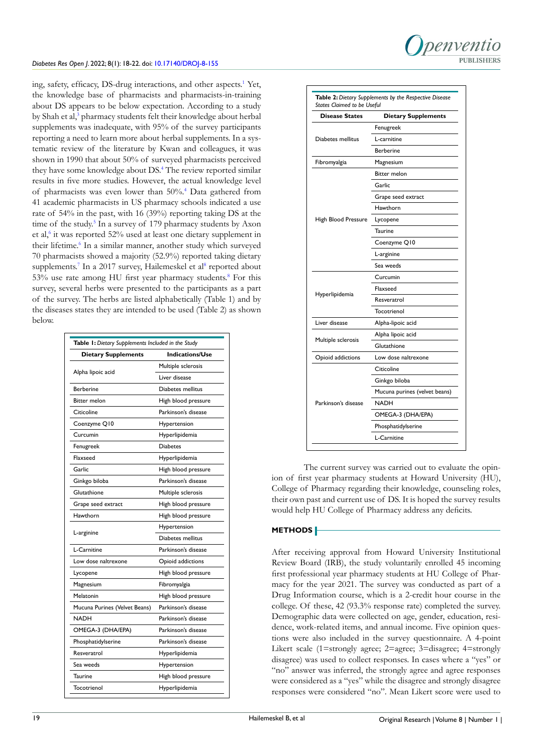

ing, safety, efficacy, DS-drug interactions, and other aspects.<sup>[1](#page-4-0)</sup> Yet, the knowledge base of pharmacists and pharmacists-in-training about DS appears to be below expectation. According to a study by Shah et al,<sup>[3](#page-4-2)</sup> pharmacy students felt their knowledge about herbal supplements was inadequate, with 95% of the survey participants reporting a need to learn more about herbal supplements. In a systematic review of the literature by Kwan and colleagues, it was shown in 1990 that about 50% of surveyed pharmacists perceived they have some knowledge about DS.[4](#page-4-3) The review reported similar results in five more studies. However, the actual knowledge level of pharmacists was even lower than 50%.[4](#page-4-3) Data gathered from 41 academic pharmacists in US pharmacy schools indicated a use rate of 54% in the past, with 16 (39%) reporting taking DS at the time of the study.<sup>5</sup> In a survey of 179 pharmacy students by Axon et al,<sup>[6](#page-4-5)</sup> it was reported 52% used at least one dietary supplement in their lifetime.<sup>[6](#page-4-5)</sup> In a similar manner, another study which surveyed 70 pharmacists showed a majority (52.9%) reported taking dietary supplements.<sup>[7](#page-4-6)</sup> In a 2017 survey, Hailemeskel et al<sup>[8](#page-4-7)</sup> reported about 53% use rate among HU first year pharmacy students.<sup>8</sup> For this survey, several herbs were presented to the participants as a part of the survey. The herbs are listed alphabetically (Table 1) and by the diseases states they are intended to be used (Table 2) as shown below.

| Table 1: Dietary Supplements Included in the Study |                     |  |  |  |
|----------------------------------------------------|---------------------|--|--|--|
| <b>Dietary Supplements</b>                         | Indications/Use     |  |  |  |
|                                                    | Multiple sclerosis  |  |  |  |
| Alpha lipoic acid                                  | Liver disease       |  |  |  |
| <b>Berberine</b>                                   | Diabetes mellitus   |  |  |  |
| <b>Bitter melon</b>                                | High blood pressure |  |  |  |
| Citicoline                                         | Parkinson's disease |  |  |  |
| Coenzyme Q10                                       | Hypertension        |  |  |  |
| Curcumin                                           | Hyperlipidemia      |  |  |  |
| Fenugreek                                          | <b>Diabetes</b>     |  |  |  |
| Flaxseed                                           | Hyperlipidemia      |  |  |  |
| Garlic                                             | High blood pressure |  |  |  |
| Ginkgo biloba                                      | Parkinson's disease |  |  |  |
| Glutathione                                        | Multiple sclerosis  |  |  |  |
| Grape seed extract                                 | High blood pressure |  |  |  |
| Hawthorn                                           | High blood pressure |  |  |  |
| L-arginine                                         | Hypertension        |  |  |  |
|                                                    | Diabetes mellitus   |  |  |  |
| L-Carnitine                                        | Parkinson's disease |  |  |  |
| Low dose naltrexone                                | Opioid addictions   |  |  |  |
| Lycopene                                           | High blood pressure |  |  |  |
| Magnesium                                          | Fibromyalgia        |  |  |  |
| Melatonin                                          | High blood pressure |  |  |  |
| Mucuna Purines (Velvet Beans)                      | Parkinson's disease |  |  |  |
| <b>NADH</b>                                        | Parkinson's disease |  |  |  |
| OMEGA-3 (DHA/EPA)                                  | Parkinson's disease |  |  |  |
| Phosphatidylserine                                 | Parkinson's disease |  |  |  |
| Resveratrol                                        | Hyperlipidemia      |  |  |  |
| Sea weeds                                          | Hypertension        |  |  |  |
| Taurine                                            | High blood pressure |  |  |  |
| Tocotrienol                                        | Hyperlipidemia      |  |  |  |
|                                                    |                     |  |  |  |

| <b>Disease States</b> | <b>Dietary Supplements</b>    |  |  |  |  |  |
|-----------------------|-------------------------------|--|--|--|--|--|
|                       | Fenugreek                     |  |  |  |  |  |
| Diabetes mellitus     | L-carnitine                   |  |  |  |  |  |
|                       | <b>Berberine</b>              |  |  |  |  |  |
| Fibromyalgia          | Magnesium                     |  |  |  |  |  |
|                       | <b>Bitter melon</b>           |  |  |  |  |  |
|                       | Garlic                        |  |  |  |  |  |
| High Blood Pressure   | Grape seed extract            |  |  |  |  |  |
|                       | Hawthorn                      |  |  |  |  |  |
|                       | Lycopene                      |  |  |  |  |  |
|                       | <b>Taurine</b>                |  |  |  |  |  |
|                       | Coenzyme Q10                  |  |  |  |  |  |
|                       | L-arginine                    |  |  |  |  |  |
|                       | Sea weeds                     |  |  |  |  |  |
| Hyperlipidemia        | Curcumin                      |  |  |  |  |  |
|                       | Flaxseed                      |  |  |  |  |  |
|                       | Resveratrol                   |  |  |  |  |  |
|                       | Tocotrienol                   |  |  |  |  |  |
| Liver disease         | Alpha-lipoic acid             |  |  |  |  |  |
|                       | Alpha lipoic acid             |  |  |  |  |  |
| Multiple sclerosis    | Glutathione                   |  |  |  |  |  |
| Opioid addictions     | Low dose naltrexone           |  |  |  |  |  |
|                       | Citicoline                    |  |  |  |  |  |
|                       | Ginkgo biloba                 |  |  |  |  |  |
|                       | Mucuna purines (velvet beans) |  |  |  |  |  |
| Parkinson's disease   | <b>NADH</b>                   |  |  |  |  |  |
|                       | OMEGA-3 (DHA/EPA)             |  |  |  |  |  |
|                       | Phosphatidylserine            |  |  |  |  |  |
|                       |                               |  |  |  |  |  |

The current survey was carried out to evaluate the opinion of first year pharmacy students at Howard University (HU), College of Pharmacy regarding their knowledge, counseling roles, their own past and current use of DS. It is hoped the survey results would help HU College of Pharmacy address any deficits.

# **METHODS**

After receiving approval from Howard University Institutional Review Board (IRB), the study voluntarily enrolled 45 incoming first professional year pharmacy students at HU College of Pharmacy for the year 2021. The survey was conducted as part of a Drug Information course, which is a 2-credit hour course in the college. Of these, 42 (93.3% response rate) completed the survey. Demographic data were collected on age, gender, education, residence, work-related items, and annual income. Five opinion questions were also included in the survey questionnaire. A 4-point Likert scale (1=strongly agree; 2=agree; 3=disagree; 4=strongly disagree) was used to collect responses. In cases where a "yes" or "no" answer was inferred, the strongly agree and agree responses were considered as a "yes" while the disagree and strongly disagree responses were considered "no". Mean Likert score were used to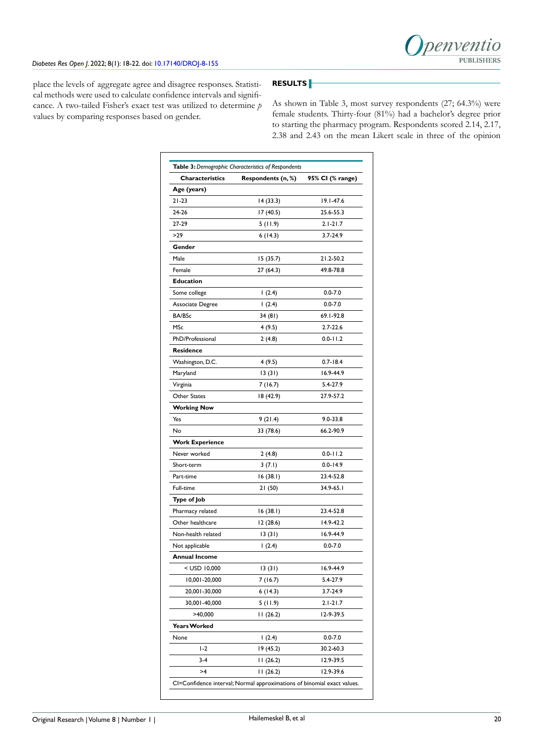

place the levels of aggregate agree and disagree responses. Statistical methods were used to calculate confidence intervals and significance. A two-tailed Fisher's exact test was utilized to determine *p* values by comparing responses based on gender.

# **RESULTS**

As shown in Table 3, most survey respondents (27; 64.3%) were female students. Thirty-four (81%) had a bachelor's degree prior to starting the pharmacy program. Respondents scored 2.14, 2.17, 2.38 and 2.43 on the mean Likert scale in three of the opinion

| <b>Characteristics</b> | Respondents (n, %) | 95% CI (% range) |
|------------------------|--------------------|------------------|
| Age (years)            |                    |                  |
| $21 - 23$              | 14(33.3)           | 19.1-47.6        |
| 24-26                  | 17(40.5)           | 25.6-55.3        |
| 27-29                  | 5 (11.9)           | $2.1 - 21.7$     |
| >29                    | 6(14.3)            | 3.7-24.9         |
| Gender                 |                    |                  |
| Male                   | 15 (35.7)          | 21.2-50.2        |
| Female                 | 27 (64.3)          | 49.8-78.8        |
| <b>Education</b>       |                    |                  |
| Some college           | 1(2.4)             | $0.0 - 7.0$      |
| Associate Degree       | 1(2.4)             | $0.0 - 7.0$      |
| <b>BA/BSc</b>          | 34 (81)            | 69.1-92.8        |
| MSc                    | 4(9.5)             | 2.7-22.6         |
| PhD/Professional       | 2(4.8)             | $0.0 - 11.2$     |
| <b>Residence</b>       |                    |                  |
| Washington, D.C.       | 4 (9.5)            | $0.7 - 18.4$     |
| Maryland               | 13(31)             | 16.9-44.9        |
| Virginia               | 7 (16.7)           | 5.4-27.9         |
| Other States           | 18 (42.9)          | 27.9-57.2        |
| <b>Working Now</b>     |                    |                  |
| Yes                    | 9(21.4)            | $9.0 - 33.8$     |
| No                     | 33 (78.6)          | 66.2-90.9        |
| <b>Work Experience</b> |                    |                  |
| Never worked           | 2(4.8)             | $0.0 - 11.2$     |
| Short-term             | 3(7.1)             | $0.0 - 14.9$     |
| Part-time              | 16 (38.I)          | 23.4-52.8        |
| Full-time              | 21 (50)            | 34.9-65.1        |
| Type of Job            |                    |                  |
| Pharmacy related       | 16 (38.I)          | 23.4-52.8        |
| Other healthcare       | 12 (28.6)          | 14.9-42.2        |
| Non-health related     | 13(31)             | 16.9-44.9        |
| Not applicable         | 1(2.4)             | $0.0 - 7.0$      |
| Annual Income          |                    |                  |
| < USD 10,000           | 13(31)             | 16.9-44.9        |
| 10,001-20,000          | 7 (16.7)           | 5.4-27.9         |
| 20,001-30,000          | 6(14.3)            | 3.7-24.9         |
| 30,001-40,000          | 5 (11.9)           | $2.1 - 21.7$     |
| >40,000                | 11(26.2)           | 12-9-39.5        |
| <b>Years Worked</b>    |                    |                  |
| None                   | 1(2.4)             | $0.0 - 7.0$      |
| $1-2$                  | 19 (45.2)          | 30.2-60.3        |
| $3-4$                  | 11(26.2)           | 12.9-39.5        |
| >4                     | 11(26.2)           | 12.9-39.6        |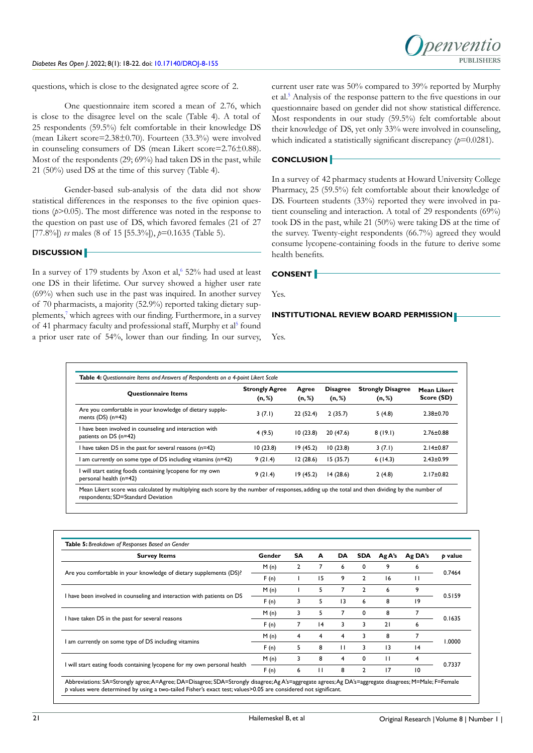

questions, which is close to the designated agree score of 2.

One questionnaire item scored a mean of 2.76, which is close to the disagree level on the scale (Table 4). A total of 25 respondents (59.5%) felt comfortable in their knowledge DS (mean Likert score=2.38±0.70). Fourteen (33.3%) were involved in counseling consumers of DS (mean Likert score=2.76±0.88). Most of the respondents (29; 69%) had taken DS in the past, while 21 (50%) used DS at the time of this survey (Table 4).

Gender-based sub-analysis of the data did not show statistical differences in the responses to the five opinion questions (*p*>0.05). The most difference was noted in the response to the question on past use of DS, which favored females (21 of 27 [77.8%]) *vs* males (8 of 15 [55.3%]), *p*=0.1635 (Table 5).

# **DISCUSSION**

In a survey of 179 students by Axon et al,<sup>6</sup> 52% had used at least one DS in their lifetime. Our survey showed a higher user rate (69%) when such use in the past was inquired. In another survey of 70 pharmacists, a majority (52.9%) reported taking dietary sup-plements,<sup>[7](#page-4-6)</sup> which agrees with our finding. Furthermore, in a survey of 41 pharmacy faculty and professional staff, Murphy et al<sup>5</sup> found a prior user rate of 54%, lower than our finding. In our survey,

current user rate was 50% compared to 39% reported by Murphy et al.<sup>[5](#page-4-4)</sup> Analysis of the response pattern to the five questions in our questionnaire based on gender did not show statistical difference. Most respondents in our study (59.5%) felt comfortable about their knowledge of DS, yet only 33% were involved in counseling, which indicated a statistically significant discrepancy ( $p=0.0281$ ).

# **CONCLUSION**

In a survey of 42 pharmacy students at Howard University College Pharmacy, 25 (59.5%) felt comfortable about their knowledge of DS. Fourteen students (33%) reported they were involved in patient counseling and interaction. A total of 29 respondents (69%) took DS in the past, while 21 (50%) were taking DS at the time of the survey. Twenty-eight respondents (66.7%) agreed they would consume lycopene-containing foods in the future to derive some health benefits.

#### **CONSENT**

Yes.

# **INSTITUTIONAL REVIEW BOARD PERMISSION**

Yes.

| <b>Ouestionnaire Items</b>                                                         | <b>Strongly Agree</b><br>(n, %) | Agree<br>(n, %) | <b>Disagree</b><br>(n, %) | <b>Strongly Disagree</b><br>(n, %) | Mean Likert<br>Score (SD) |
|------------------------------------------------------------------------------------|---------------------------------|-----------------|---------------------------|------------------------------------|---------------------------|
| Are you comfortable in your knowledge of dietary supple-<br>ments $(DS)$ (n=42)    | 3(7.1)                          | 22(52.4)        | 2(35.7)                   | 5(4.8)                             | $2.38 + 0.70$             |
| I have been involved in counseling and interaction with<br>patients on DS (n=42)   | 4(9.5)                          | 10(23.8)        | 20(47.6)                  | 8(19.1)                            | $2.76 \pm 0.88$           |
| I have taken DS in the past for several reasons $(n=42)$                           | 10(23.8)                        | 19(45.2)        | 10(23.8)                  | 3(7.1)                             | $2.14 \pm 0.87$           |
| I am currently on some type of DS including vitamins (n=42)                        | 9(21.4)                         | 12(28.6)        | 15(35.7)                  | 6(14.3)                            | $2.43 \pm 0.99$           |
| I will start eating foods containing lycopene for my own<br>personal health (n=42) | 9(21.4)                         | 19(45.2)        | 14(28.6)                  | 2(4.8)                             | $2.17 \pm 0.82$           |

| <b>Survey Items</b>                                                      | Gender | SA | A  | DA              | <b>SDA</b>     | Ag A's | Ag DA's | p value |
|--------------------------------------------------------------------------|--------|----|----|-----------------|----------------|--------|---------|---------|
| Are you comfortable in your knowledge of dietary supplements (DS)?       | M(n)   | 2  |    | 6               | 0              | 9      | 6       | 0.7464  |
|                                                                          | F(n)   |    | 15 | 9               | 2              | 16     | п       |         |
| I have been involved in counseling and interaction with patients on DS   | M(n)   |    | 5  | 7               | $\overline{2}$ | 6      | 9       | 0.5159  |
|                                                                          | F(n)   | 3  | 5. | $\overline{13}$ | 6              | 8      | 19      |         |
|                                                                          | M(n)   | 3  | 5  |                 | 0              | 8      | 7       | 0.1635  |
| I have taken DS in the past for several reasons                          | F(n)   |    | 4  | 3               | 3              | 21     | 6       |         |
|                                                                          | M(n)   | 4  | 4  | 4               | 3              | 8      | 7       | 1.0000  |
| I am currently on some type of DS including vitamins                     | F(n)   | 5  | 8  | $\mathbf{H}$    | 3              | 3      | 4       |         |
| I will start eating foods containing lycopene for my own personal health | M(n)   | 3  | 8  | 4               | 0              | П      | 4       | 0.7337  |
|                                                                          | F(n)   | 6  | П  | 8               | $\mathbf{2}$   | 17     | 10      |         |